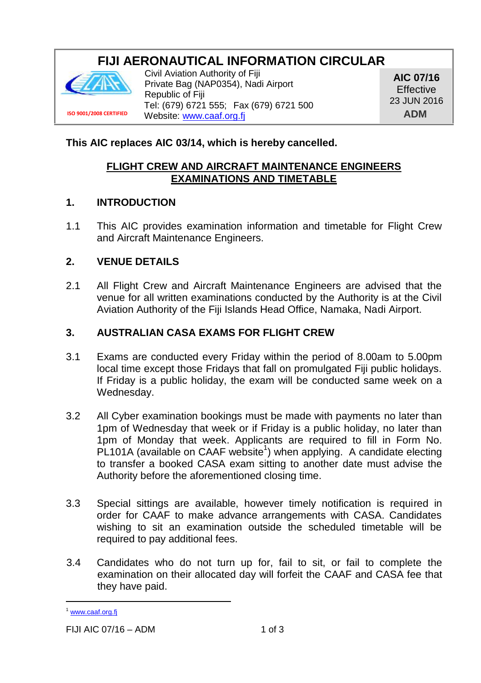# **FIJI AERONAUTICAL INFORMATION CIRCULAR**



**ISO 9001/2008 CERTIFIED**

Civil Aviation Authority of Fiji Private Bag (NAP0354), Nadi Airport Republic of Fiji Tel: (679) 6721 555; Fax (679) 6721 500 Website: www.caaf.org.fi

**AIC 07/16 Effective** 23 JUN 2016 **ADM**

## **This AIC replaces AIC 03/14, which is hereby cancelled.**

### **FLIGHT CREW AND AIRCRAFT MAINTENANCE ENGINEERS EXAMINATIONS AND TIMETABLE**

#### **1. INTRODUCTION**

1.1 This AIC provides examination information and timetable for Flight Crew and Aircraft Maintenance Engineers.

### **2. VENUE DETAILS**

2.1 All Flight Crew and Aircraft Maintenance Engineers are advised that the venue for all written examinations conducted by the Authority is at the Civil Aviation Authority of the Fiji Islands Head Office, Namaka, Nadi Airport.

#### **3. AUSTRALIAN CASA EXAMS FOR FLIGHT CREW**

- 3.1 Exams are conducted every Friday within the period of 8.00am to 5.00pm local time except those Fridays that fall on promulgated Fiji public holidays. If Friday is a public holiday, the exam will be conducted same week on a Wednesday.
- 3.2 All Cyber examination bookings must be made with payments no later than 1pm of Wednesday that week or if Friday is a public holiday, no later than 1pm of Monday that week. Applicants are required to fill in Form No. PL101A (available on CAAF website<sup>1</sup>) when applying. A candidate electing to transfer a booked CASA exam sitting to another date must advise the Authority before the aforementioned closing time.
- 3.3 Special sittings are available, however timely notification is required in order for CAAF to make advance arrangements with CASA. Candidates wishing to sit an examination outside the scheduled timetable will be required to pay additional fees.
- 3.4 Candidates who do not turn up for, fail to sit, or fail to complete the examination on their allocated day will forfeit the CAAF and CASA fee that they have paid.

<sup>&</sup>lt;sup>1</sup> www.caaf.org.fi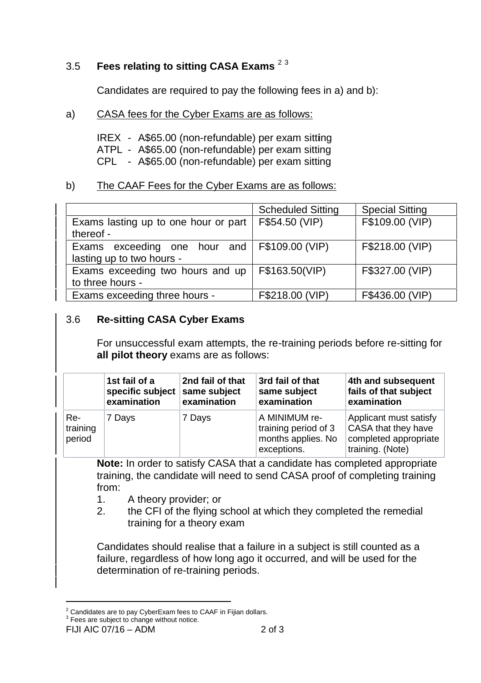## 3.5 **Fees relating to sitting CASA Exams** <sup>2</sup> <sup>3</sup>

Candidates are required to pay the following fees in a) and b):

a) CASA fees for the Cyber Exams are as follows:

IREX - A\$65.00 (non-refundable) per exam sitt**i**ng ATPL - A\$65.00 (non-refundable) per exam sitting CPL - A\$65.00 (non-refundable) per exam sitting

### b) The CAAF Fees for the Cyber Exams are as follows:

|                                                                           | <b>Scheduled Sitting</b> | <b>Special Sitting</b> |
|---------------------------------------------------------------------------|--------------------------|------------------------|
| Exams lasting up to one hour or part<br>thereof -                         | F\$54.50 (VIP)           | F\$109.00 (VIP)        |
| Exams exceeding one hour and F\$109.00 (VIP)<br>lasting up to two hours - |                          | F\$218.00 (VIP)        |
| Exams exceeding two hours and up<br>to three hours -                      | F\$163.50(VIP)           | F\$327.00 (VIP)        |
| Exams exceeding three hours -                                             | F\$218.00 (VIP)          | F\$436.00 (VIP)        |

### 3.6 **Re-sitting CASA Cyber Exams**

For unsuccessful exam attempts, the re-training periods before re-sitting for **all pilot theory** exams are as follows:

|                           | 1st fail of a<br>specific subject same subject<br>examination | 2nd fail of that<br>examination | 3rd fail of that<br>same subject<br>examination                            | 4th and subsequent<br>fails of that subject<br>examination                                 |
|---------------------------|---------------------------------------------------------------|---------------------------------|----------------------------------------------------------------------------|--------------------------------------------------------------------------------------------|
| Re-<br>training<br>period | 7 Davs                                                        | 7 Days                          | A MINIMUM re-<br>training period of 3<br>months applies. No<br>exceptions. | Applicant must satisfy<br>CASA that they have<br>completed appropriate<br>training. (Note) |

**Note:** In order to satisfy CASA that a candidate has completed appropriate training, the candidate will need to send CASA proof of completing training from:

- 1. A theory provider; or
- 2. the CFI of the flying school at which they completed the remedial training for a theory exam

Candidates should realise that a failure in a subject is still counted as a failure, regardless of how long ago it occurred, and will be used for the determination of re-training periods.

 $2$  Candidates are to pay CyberExam fees to CAAF in Fijian dollars.<br> $3$  Fees are subject to change without notice.